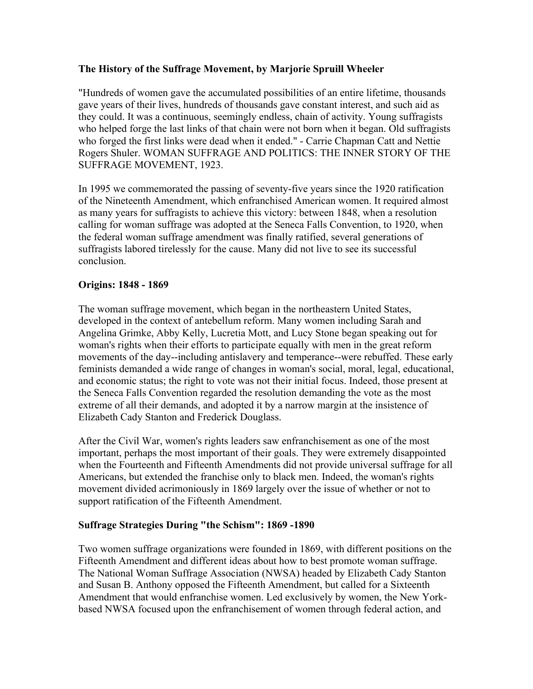### **The History of the Suffrage Movement, by Marjorie Spruill Wheeler**

"Hundreds of women gave the accumulated possibilities of an entire lifetime, thousands gave years of their lives, hundreds of thousands gave constant interest, and such aid as they could. It was a continuous, seemingly endless, chain of activity. Young suffragists who helped forge the last links of that chain were not born when it began. Old suffragists who forged the first links were dead when it ended." - Carrie Chapman Catt and Nettie Rogers Shuler. WOMAN SUFFRAGE AND POLITICS: THE INNER STORY OF THE SUFFRAGE MOVEMENT, 1923.

In 1995 we commemorated the passing of seventy-five years since the 1920 ratification of the Nineteenth Amendment, which enfranchised American women. It required almost as many years for suffragists to achieve this victory: between 1848, when a resolution calling for woman suffrage was adopted at the Seneca Falls Convention, to 1920, when the federal woman suffrage amendment was finally ratified, several generations of suffragists labored tirelessly for the cause. Many did not live to see its successful conclusion.

### **Origins: 1848 - 1869**

The woman suffrage movement, which began in the northeastern United States, developed in the context of antebellum reform. Many women including Sarah and Angelina Grimke, Abby Kelly, Lucretia Mott, and Lucy Stone began speaking out for woman's rights when their efforts to participate equally with men in the great reform movements of the day--including antislavery and temperance--were rebuffed. These early feminists demanded a wide range of changes in woman's social, moral, legal, educational, and economic status; the right to vote was not their initial focus. Indeed, those present at the Seneca Falls Convention regarded the resolution demanding the vote as the most extreme of all their demands, and adopted it by a narrow margin at the insistence of Elizabeth Cady Stanton and Frederick Douglass.

After the Civil War, women's rights leaders saw enfranchisement as one of the most important, perhaps the most important of their goals. They were extremely disappointed when the Fourteenth and Fifteenth Amendments did not provide universal suffrage for all Americans, but extended the franchise only to black men. Indeed, the woman's rights movement divided acrimoniously in 1869 largely over the issue of whether or not to support ratification of the Fifteenth Amendment.

#### **Suffrage Strategies During "the Schism": 1869 -1890**

Two women suffrage organizations were founded in 1869, with different positions on the Fifteenth Amendment and different ideas about how to best promote woman suffrage. The National Woman Suffrage Association (NWSA) headed by Elizabeth Cady Stanton and Susan B. Anthony opposed the Fifteenth Amendment, but called for a Sixteenth Amendment that would enfranchise women. Led exclusively by women, the New Yorkbased NWSA focused upon the enfranchisement of women through federal action, and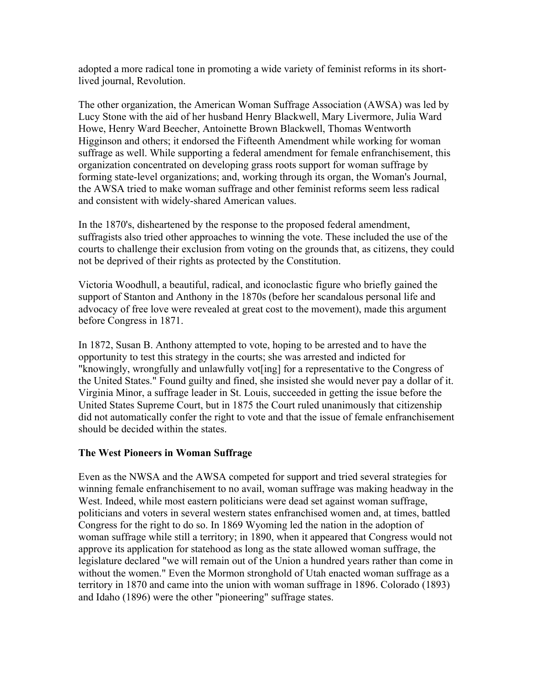adopted a more radical tone in promoting a wide variety of feminist reforms in its shortlived journal, Revolution.

The other organization, the American Woman Suffrage Association (AWSA) was led by Lucy Stone with the aid of her husband Henry Blackwell, Mary Livermore, Julia Ward Howe, Henry Ward Beecher, Antoinette Brown Blackwell, Thomas Wentworth Higginson and others; it endorsed the Fifteenth Amendment while working for woman suffrage as well. While supporting a federal amendment for female enfranchisement, this organization concentrated on developing grass roots support for woman suffrage by forming state-level organizations; and, working through its organ, the Woman's Journal, the AWSA tried to make woman suffrage and other feminist reforms seem less radical and consistent with widely-shared American values.

In the 1870's, disheartened by the response to the proposed federal amendment, suffragists also tried other approaches to winning the vote. These included the use of the courts to challenge their exclusion from voting on the grounds that, as citizens, they could not be deprived of their rights as protected by the Constitution.

Victoria Woodhull, a beautiful, radical, and iconoclastic figure who briefly gained the support of Stanton and Anthony in the 1870s (before her scandalous personal life and advocacy of free love were revealed at great cost to the movement), made this argument before Congress in 1871.

In 1872, Susan B. Anthony attempted to vote, hoping to be arrested and to have the opportunity to test this strategy in the courts; she was arrested and indicted for "knowingly, wrongfully and unlawfully vot[ing] for a representative to the Congress of the United States." Found guilty and fined, she insisted she would never pay a dollar of it. Virginia Minor, a suffrage leader in St. Louis, succeeded in getting the issue before the United States Supreme Court, but in 1875 the Court ruled unanimously that citizenship did not automatically confer the right to vote and that the issue of female enfranchisement should be decided within the states.

#### **The West Pioneers in Woman Suffrage**

Even as the NWSA and the AWSA competed for support and tried several strategies for winning female enfranchisement to no avail, woman suffrage was making headway in the West. Indeed, while most eastern politicians were dead set against woman suffrage, politicians and voters in several western states enfranchised women and, at times, battled Congress for the right to do so. In 1869 Wyoming led the nation in the adoption of woman suffrage while still a territory; in 1890, when it appeared that Congress would not approve its application for statehood as long as the state allowed woman suffrage, the legislature declared "we will remain out of the Union a hundred years rather than come in without the women." Even the Mormon stronghold of Utah enacted woman suffrage as a territory in 1870 and came into the union with woman suffrage in 1896. Colorado (1893) and Idaho (1896) were the other "pioneering" suffrage states.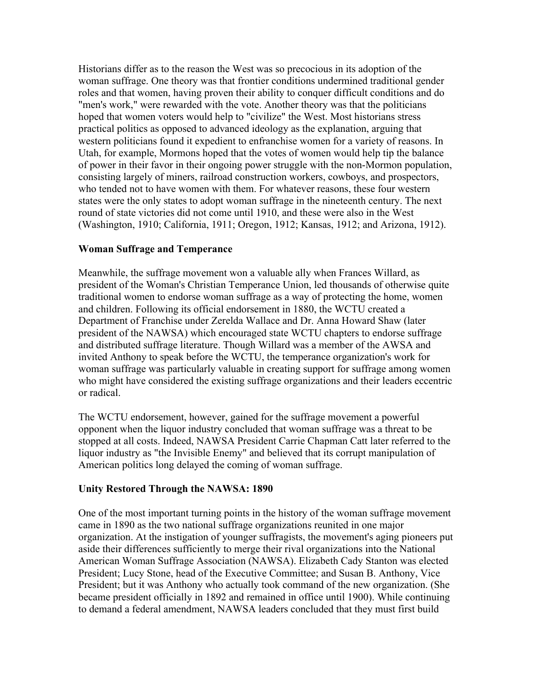Historians differ as to the reason the West was so precocious in its adoption of the woman suffrage. One theory was that frontier conditions undermined traditional gender roles and that women, having proven their ability to conquer difficult conditions and do "men's work," were rewarded with the vote. Another theory was that the politicians hoped that women voters would help to "civilize" the West. Most historians stress practical politics as opposed to advanced ideology as the explanation, arguing that western politicians found it expedient to enfranchise women for a variety of reasons. In Utah, for example, Mormons hoped that the votes of women would help tip the balance of power in their favor in their ongoing power struggle with the non-Mormon population, consisting largely of miners, railroad construction workers, cowboys, and prospectors, who tended not to have women with them. For whatever reasons, these four western states were the only states to adopt woman suffrage in the nineteenth century. The next round of state victories did not come until 1910, and these were also in the West (Washington, 1910; California, 1911; Oregon, 1912; Kansas, 1912; and Arizona, 1912).

#### **Woman Suffrage and Temperance**

Meanwhile, the suffrage movement won a valuable ally when Frances Willard, as president of the Woman's Christian Temperance Union, led thousands of otherwise quite traditional women to endorse woman suffrage as a way of protecting the home, women and children. Following its official endorsement in 1880, the WCTU created a Department of Franchise under Zerelda Wallace and Dr. Anna Howard Shaw (later president of the NAWSA) which encouraged state WCTU chapters to endorse suffrage and distributed suffrage literature. Though Willard was a member of the AWSA and invited Anthony to speak before the WCTU, the temperance organization's work for woman suffrage was particularly valuable in creating support for suffrage among women who might have considered the existing suffrage organizations and their leaders eccentric or radical.

The WCTU endorsement, however, gained for the suffrage movement a powerful opponent when the liquor industry concluded that woman suffrage was a threat to be stopped at all costs. Indeed, NAWSA President Carrie Chapman Catt later referred to the liquor industry as "the Invisible Enemy" and believed that its corrupt manipulation of American politics long delayed the coming of woman suffrage.

#### **Unity Restored Through the NAWSA: 1890**

One of the most important turning points in the history of the woman suffrage movement came in 1890 as the two national suffrage organizations reunited in one major organization. At the instigation of younger suffragists, the movement's aging pioneers put aside their differences sufficiently to merge their rival organizations into the National American Woman Suffrage Association (NAWSA). Elizabeth Cady Stanton was elected President; Lucy Stone, head of the Executive Committee; and Susan B. Anthony, Vice President; but it was Anthony who actually took command of the new organization. (She became president officially in 1892 and remained in office until 1900). While continuing to demand a federal amendment, NAWSA leaders concluded that they must first build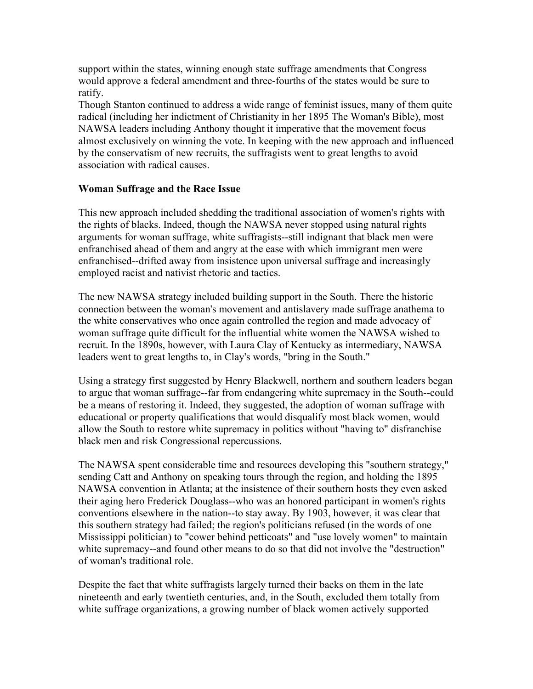support within the states, winning enough state suffrage amendments that Congress would approve a federal amendment and three-fourths of the states would be sure to ratify.

Though Stanton continued to address a wide range of feminist issues, many of them quite radical (including her indictment of Christianity in her 1895 The Woman's Bible), most NAWSA leaders including Anthony thought it imperative that the movement focus almost exclusively on winning the vote. In keeping with the new approach and influenced by the conservatism of new recruits, the suffragists went to great lengths to avoid association with radical causes.

#### **Woman Suffrage and the Race Issue**

This new approach included shedding the traditional association of women's rights with the rights of blacks. Indeed, though the NAWSA never stopped using natural rights arguments for woman suffrage, white suffragists--still indignant that black men were enfranchised ahead of them and angry at the ease with which immigrant men were enfranchised--drifted away from insistence upon universal suffrage and increasingly employed racist and nativist rhetoric and tactics.

The new NAWSA strategy included building support in the South. There the historic connection between the woman's movement and antislavery made suffrage anathema to the white conservatives who once again controlled the region and made advocacy of woman suffrage quite difficult for the influential white women the NAWSA wished to recruit. In the 1890s, however, with Laura Clay of Kentucky as intermediary, NAWSA leaders went to great lengths to, in Clay's words, "bring in the South."

Using a strategy first suggested by Henry Blackwell, northern and southern leaders began to argue that woman suffrage--far from endangering white supremacy in the South--could be a means of restoring it. Indeed, they suggested, the adoption of woman suffrage with educational or property qualifications that would disqualify most black women, would allow the South to restore white supremacy in politics without "having to" disfranchise black men and risk Congressional repercussions.

The NAWSA spent considerable time and resources developing this "southern strategy," sending Catt and Anthony on speaking tours through the region, and holding the 1895 NAWSA convention in Atlanta; at the insistence of their southern hosts they even asked their aging hero Frederick Douglass--who was an honored participant in women's rights conventions elsewhere in the nation--to stay away. By 1903, however, it was clear that this southern strategy had failed; the region's politicians refused (in the words of one Mississippi politician) to "cower behind petticoats" and "use lovely women" to maintain white supremacy--and found other means to do so that did not involve the "destruction" of woman's traditional role.

Despite the fact that white suffragists largely turned their backs on them in the late nineteenth and early twentieth centuries, and, in the South, excluded them totally from white suffrage organizations, a growing number of black women actively supported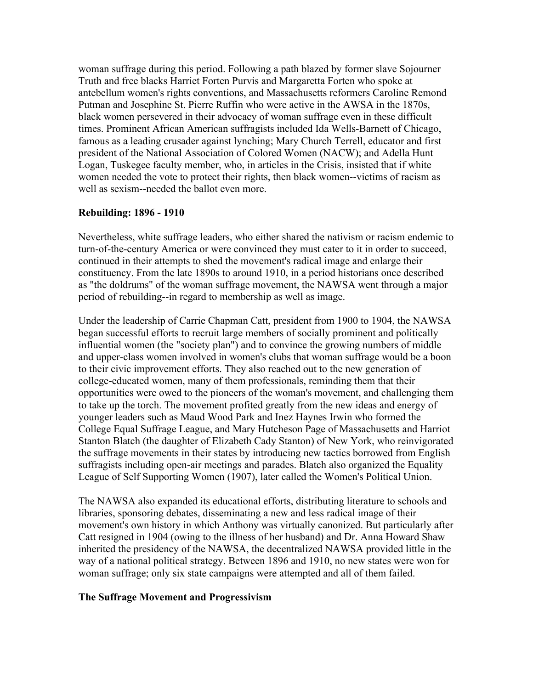woman suffrage during this period. Following a path blazed by former slave Sojourner Truth and free blacks Harriet Forten Purvis and Margaretta Forten who spoke at antebellum women's rights conventions, and Massachusetts reformers Caroline Remond Putman and Josephine St. Pierre Ruffin who were active in the AWSA in the 1870s, black women persevered in their advocacy of woman suffrage even in these difficult times. Prominent African American suffragists included Ida Wells-Barnett of Chicago, famous as a leading crusader against lynching; Mary Church Terrell, educator and first president of the National Association of Colored Women (NACW); and Adella Hunt Logan, Tuskegee faculty member, who, in articles in the Crisis, insisted that if white women needed the vote to protect their rights, then black women--victims of racism as well as sexism--needed the ballot even more.

#### **Rebuilding: 1896 - 1910**

Nevertheless, white suffrage leaders, who either shared the nativism or racism endemic to turn-of-the-century America or were convinced they must cater to it in order to succeed, continued in their attempts to shed the movement's radical image and enlarge their constituency. From the late 1890s to around 1910, in a period historians once described as "the doldrums" of the woman suffrage movement, the NAWSA went through a major period of rebuilding--in regard to membership as well as image.

Under the leadership of Carrie Chapman Catt, president from 1900 to 1904, the NAWSA began successful efforts to recruit large members of socially prominent and politically influential women (the "society plan") and to convince the growing numbers of middle and upper-class women involved in women's clubs that woman suffrage would be a boon to their civic improvement efforts. They also reached out to the new generation of college-educated women, many of them professionals, reminding them that their opportunities were owed to the pioneers of the woman's movement, and challenging them to take up the torch. The movement profited greatly from the new ideas and energy of younger leaders such as Maud Wood Park and Inez Haynes Irwin who formed the College Equal Suffrage League, and Mary Hutcheson Page of Massachusetts and Harriot Stanton Blatch (the daughter of Elizabeth Cady Stanton) of New York, who reinvigorated the suffrage movements in their states by introducing new tactics borrowed from English suffragists including open-air meetings and parades. Blatch also organized the Equality League of Self Supporting Women (1907), later called the Women's Political Union.

The NAWSA also expanded its educational efforts, distributing literature to schools and libraries, sponsoring debates, disseminating a new and less radical image of their movement's own history in which Anthony was virtually canonized. But particularly after Catt resigned in 1904 (owing to the illness of her husband) and Dr. Anna Howard Shaw inherited the presidency of the NAWSA, the decentralized NAWSA provided little in the way of a national political strategy. Between 1896 and 1910, no new states were won for woman suffrage; only six state campaigns were attempted and all of them failed.

#### **The Suffrage Movement and Progressivism**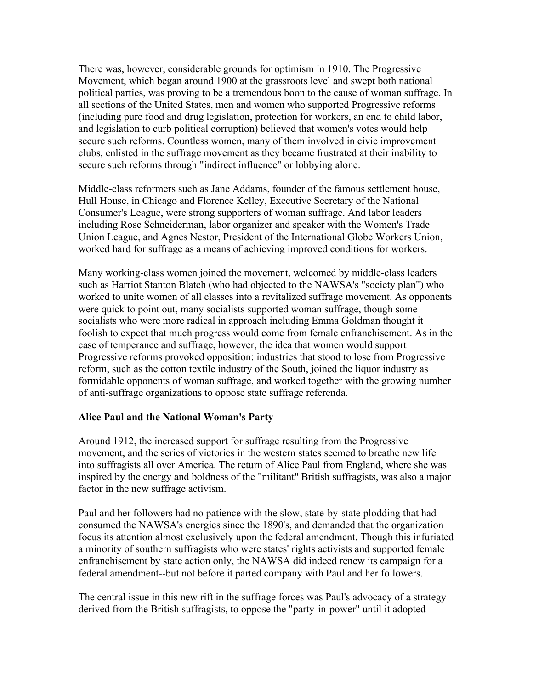There was, however, considerable grounds for optimism in 1910. The Progressive Movement, which began around 1900 at the grassroots level and swept both national political parties, was proving to be a tremendous boon to the cause of woman suffrage. In all sections of the United States, men and women who supported Progressive reforms (including pure food and drug legislation, protection for workers, an end to child labor, and legislation to curb political corruption) believed that women's votes would help secure such reforms. Countless women, many of them involved in civic improvement clubs, enlisted in the suffrage movement as they became frustrated at their inability to secure such reforms through "indirect influence" or lobbying alone.

Middle-class reformers such as Jane Addams, founder of the famous settlement house, Hull House, in Chicago and Florence Kelley, Executive Secretary of the National Consumer's League, were strong supporters of woman suffrage. And labor leaders including Rose Schneiderman, labor organizer and speaker with the Women's Trade Union League, and Agnes Nestor, President of the International Globe Workers Union, worked hard for suffrage as a means of achieving improved conditions for workers.

Many working-class women joined the movement, welcomed by middle-class leaders such as Harriot Stanton Blatch (who had objected to the NAWSA's "society plan") who worked to unite women of all classes into a revitalized suffrage movement. As opponents were quick to point out, many socialists supported woman suffrage, though some socialists who were more radical in approach including Emma Goldman thought it foolish to expect that much progress would come from female enfranchisement. As in the case of temperance and suffrage, however, the idea that women would support Progressive reforms provoked opposition: industries that stood to lose from Progressive reform, such as the cotton textile industry of the South, joined the liquor industry as formidable opponents of woman suffrage, and worked together with the growing number of anti-suffrage organizations to oppose state suffrage referenda.

#### **Alice Paul and the National Woman's Party**

Around 1912, the increased support for suffrage resulting from the Progressive movement, and the series of victories in the western states seemed to breathe new life into suffragists all over America. The return of Alice Paul from England, where she was inspired by the energy and boldness of the "militant" British suffragists, was also a major factor in the new suffrage activism.

Paul and her followers had no patience with the slow, state-by-state plodding that had consumed the NAWSA's energies since the 1890's, and demanded that the organization focus its attention almost exclusively upon the federal amendment. Though this infuriated a minority of southern suffragists who were states' rights activists and supported female enfranchisement by state action only, the NAWSA did indeed renew its campaign for a federal amendment--but not before it parted company with Paul and her followers.

The central issue in this new rift in the suffrage forces was Paul's advocacy of a strategy derived from the British suffragists, to oppose the "party-in-power" until it adopted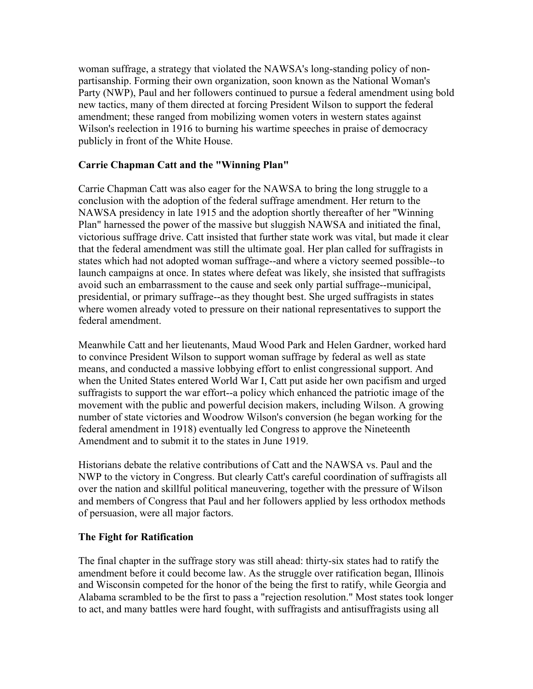woman suffrage, a strategy that violated the NAWSA's long-standing policy of nonpartisanship. Forming their own organization, soon known as the National Woman's Party (NWP), Paul and her followers continued to pursue a federal amendment using bold new tactics, many of them directed at forcing President Wilson to support the federal amendment; these ranged from mobilizing women voters in western states against Wilson's reelection in 1916 to burning his wartime speeches in praise of democracy publicly in front of the White House.

# **Carrie Chapman Catt and the "Winning Plan"**

Carrie Chapman Catt was also eager for the NAWSA to bring the long struggle to a conclusion with the adoption of the federal suffrage amendment. Her return to the NAWSA presidency in late 1915 and the adoption shortly thereafter of her "Winning Plan" harnessed the power of the massive but sluggish NAWSA and initiated the final, victorious suffrage drive. Catt insisted that further state work was vital, but made it clear that the federal amendment was still the ultimate goal. Her plan called for suffragists in states which had not adopted woman suffrage--and where a victory seemed possible--to launch campaigns at once. In states where defeat was likely, she insisted that suffragists avoid such an embarrassment to the cause and seek only partial suffrage--municipal, presidential, or primary suffrage--as they thought best. She urged suffragists in states where women already voted to pressure on their national representatives to support the federal amendment.

Meanwhile Catt and her lieutenants, Maud Wood Park and Helen Gardner, worked hard to convince President Wilson to support woman suffrage by federal as well as state means, and conducted a massive lobbying effort to enlist congressional support. And when the United States entered World War I, Catt put aside her own pacifism and urged suffragists to support the war effort--a policy which enhanced the patriotic image of the movement with the public and powerful decision makers, including Wilson. A growing number of state victories and Woodrow Wilson's conversion (he began working for the federal amendment in 1918) eventually led Congress to approve the Nineteenth Amendment and to submit it to the states in June 1919.

Historians debate the relative contributions of Catt and the NAWSA vs. Paul and the NWP to the victory in Congress. But clearly Catt's careful coordination of suffragists all over the nation and skillful political maneuvering, together with the pressure of Wilson and members of Congress that Paul and her followers applied by less orthodox methods of persuasion, were all major factors.

# **The Fight for Ratification**

The final chapter in the suffrage story was still ahead: thirty-six states had to ratify the amendment before it could become law. As the struggle over ratification began, Illinois and Wisconsin competed for the honor of the being the first to ratify, while Georgia and Alabama scrambled to be the first to pass a "rejection resolution." Most states took longer to act, and many battles were hard fought, with suffragists and antisuffragists using all